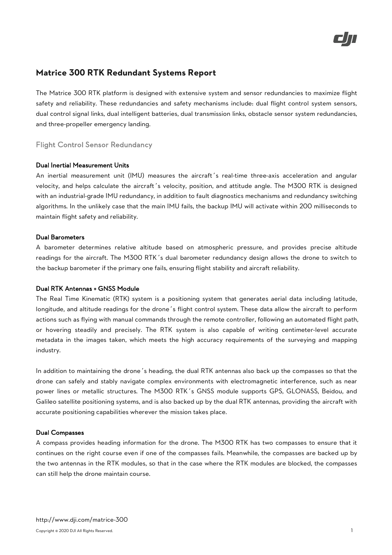

# **Matrice 300 RTK Redundant Systems Report**

The Matrice 300 RTK platform is designed with extensive system and sensor redundancies to maximize flight safety and reliability. These redundancies and safety mechanisms include: dual flight control system sensors, dual control signal links, dual intelligent batteries, dual transmission links, obstacle sensor system redundancies, and three-propeller emergency landing.

## Flight Control Sensor Redundancy

#### Dual Inertial Measurement Units

An inertial measurement unit (IMU) measures the aircraft's real-time three-axis acceleration and angular velocity, and helps calculate the aircraft's velocity, position, and attitude angle. The M300 RTK is designed with an industrial-grade IMU redundancy, in addition to fault diagnostics mechanisms and redundancy switching algorithms. In the unlikely case that the main IMU fails, the backup IMU will activate within 200 milliseconds to maintain flight safety and reliability.

#### Dual Barometers

A barometer determines relative altitude based on atmospheric pressure, and provides precise altitude readings for the aircraft. The M300 RTK's dual barometer redundancy design allows the drone to switch to the backup barometer if the primary one fails, ensuring flight stability and aircraft reliability.

#### Dual RTK Antennas + GNSS Module

The Real Time Kinematic (RTK) system is a positioning system that generates aerial data including latitude, longitude, and altitude readings for the drone's flight control system. These data allow the aircraft to perform actions such as flying with manual commands through the remote controller, following an automated flight path, or hovering steadily and precisely. The RTK system is also capable of writing centimeter-level accurate metadata in the images taken, which meets the high accuracy requirements of the surveying and mapping industry.

In addition to maintaining the drone's heading, the dual RTK antennas also back up the compasses so that the drone can safely and stably navigate complex environments with electromagnetic interference, such as near power lines or metallic structures. The M300 RTK's GNSS module supports GPS, GLONASS, Beidou, and Galileo satellite positioning systems, and is also backed up by the dual RTK antennas, providing the aircraft with accurate positioning capabilities wherever the mission takes place.

#### Dual Compasses

A compass provides heading information for the drone. The M300 RTK has two compasses to ensure that it continues on the right course even if one of the compasses fails. Meanwhile, the compasses are backed up by the two antennas in the RTK modules, so that in the case where the RTK modules are blocked, the compasses can still help the drone maintain course.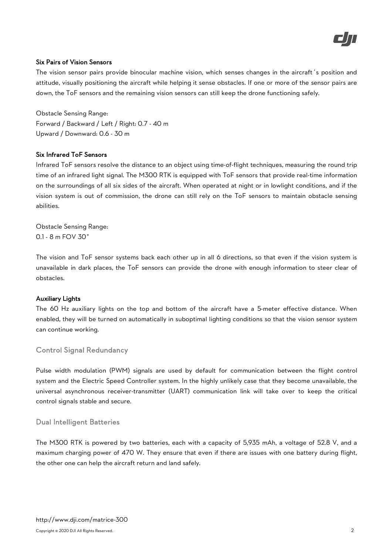

#### Six Pairs of Vision Sensors

The vision sensor pairs provide binocular machine vision, which senses changes in the aircraft's position and attitude, visually positioning the aircraft while helping it sense obstacles. If one or more of the sensor pairs are down, the ToF sensors and the remaining vision sensors can still keep the drone functioning safely.

Obstacle Sensing Range: Forward / Backward / Left / Right: 0.7 - 40 m Upward / Downward: 0.6 - 30 m

## Six Infrared ToF Sensors

Infrared ToF sensors resolve the distance to an object using time-of-flight techniques, measuring the round trip time of an infrared light signal. The M300 RTK is equipped with ToF sensors that provide real-time information on the surroundings of all six sides of the aircraft. When operated at night or in lowlight conditions, and if the vision system is out of commission, the drone can still rely on the ToF sensors to maintain obstacle sensing abilities.

Obstacle Sensing Range: 0.1 - 8 m FOV 30°

The vision and ToF sensor systems back each other up in all 6 directions, so that even if the vision system is unavailable in dark places, the ToF sensors can provide the drone with enough information to steer clear of obstacles.

#### Auxiliary Lights

The 60 Hz auxiliary lights on the top and bottom of the aircraft have a 5-meter effective distance. When enabled, they will be turned on automatically in suboptimal lighting conditions so that the vision sensor system can continue working.

# Control Signal Redundancy

Pulse width modulation (PWM) signals are used by default for communication between the flight control system and the Electric Speed Controller system. In the highly unlikely case that they become unavailable, the universal asynchronous receiver-transmitter (UART) communication link will take over to keep the critical control signals stable and secure.

# Dual Intelligent Batteries

The M300 RTK is powered by two batteries, each with a capacity of 5,935 mAh, a voltage of 52.8 V, and a maximum charging power of 470 W. They ensure that even if there are issues with one battery during flight, the other one can help the aircraft return and land safely.